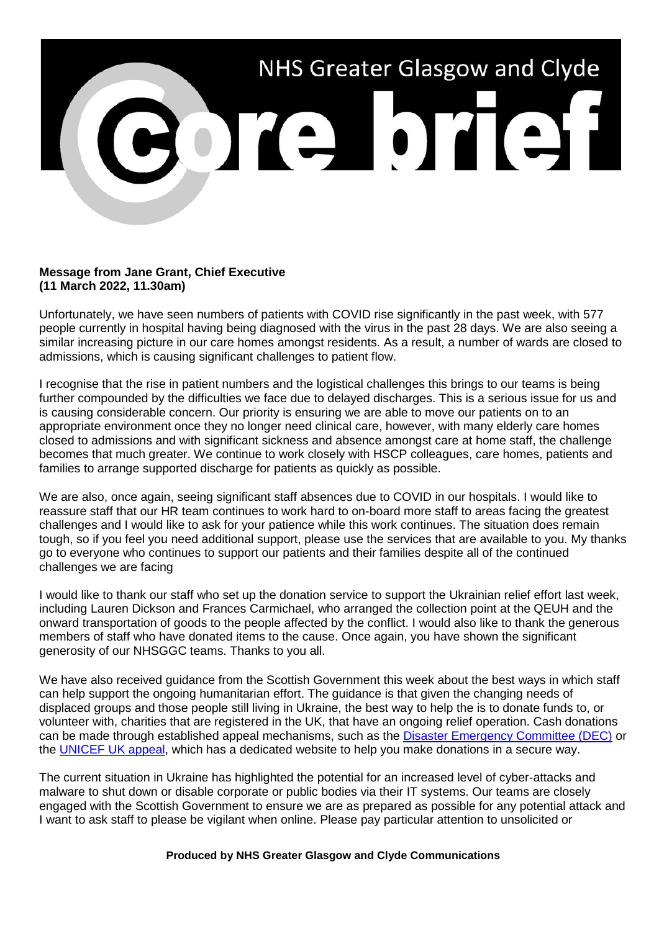

## **Message from Jane Grant, Chief Executive (11 March 2022, 11.30am)**

Unfortunately, we have seen numbers of patients with COVID rise significantly in the past week, with 577 people currently in hospital having being diagnosed with the virus in the past 28 days. We are also seeing a similar increasing picture in our care homes amongst residents. As a result, a number of wards are closed to admissions, which is causing significant challenges to patient flow.

I recognise that the rise in patient numbers and the logistical challenges this brings to our teams is being further compounded by the difficulties we face due to delayed discharges. This is a serious issue for us and is causing considerable concern. Our priority is ensuring we are able to move our patients on to an appropriate environment once they no longer need clinical care, however, with many elderly care homes closed to admissions and with significant sickness and absence amongst care at home staff, the challenge becomes that much greater. We continue to work closely with HSCP colleagues, care homes, patients and families to arrange supported discharge for patients as quickly as possible.

We are also, once again, seeing significant staff absences due to COVID in our hospitals. I would like to reassure staff that our HR team continues to work hard to on-board more staff to areas facing the greatest challenges and I would like to ask for your patience while this work continues. The situation does remain tough, so if you feel you need additional support, please use the services that are available to you. My thanks go to everyone who continues to support our patients and their families despite all of the continued challenges we are facing

I would like to thank our staff who set up the donation service to support the Ukrainian relief effort last week, including Lauren Dickson and Frances Carmichael, who arranged the collection point at the QEUH and the onward transportation of goods to the people affected by the conflict. I would also like to thank the generous members of staff who have donated items to the cause. Once again, you have shown the significant generosity of our NHSGGC teams. Thanks to you all.

We have also received guidance from the Scottish Government this week about the best ways in which staff can help support the ongoing humanitarian effort. The guidance is that given the changing needs of displaced groups and those people still living in Ukraine, the best way to help the is to donate funds to, or volunteer with, charities that are registered in the UK, that have an ongoing relief operation. Cash donations can be made through established appeal mechanisms, such as the [Disaster Emergency Committee \(DEC\)](file://xggc-fsrv-01/shares/Communications/Corporate%20Communications/Internal%20Comms/Briefs/2022/Core%20Brief/dec.org.uk) or the [UNICEF UK appeal,](https://www.unicef.org.uk/donate/donate-now-to-protect-children-in-ukraine/) which has a dedicated website to help you make donations in a secure way.

The current situation in Ukraine has highlighted the potential for an increased level of cyber-attacks and malware to shut down or disable corporate or public bodies via their IT systems. Our teams are closely engaged with the Scottish Government to ensure we are as prepared as possible for any potential attack and I want to ask staff to please be vigilant when online. Please pay particular attention to unsolicited or

## **Produced by NHS Greater Glasgow and Clyde Communications**